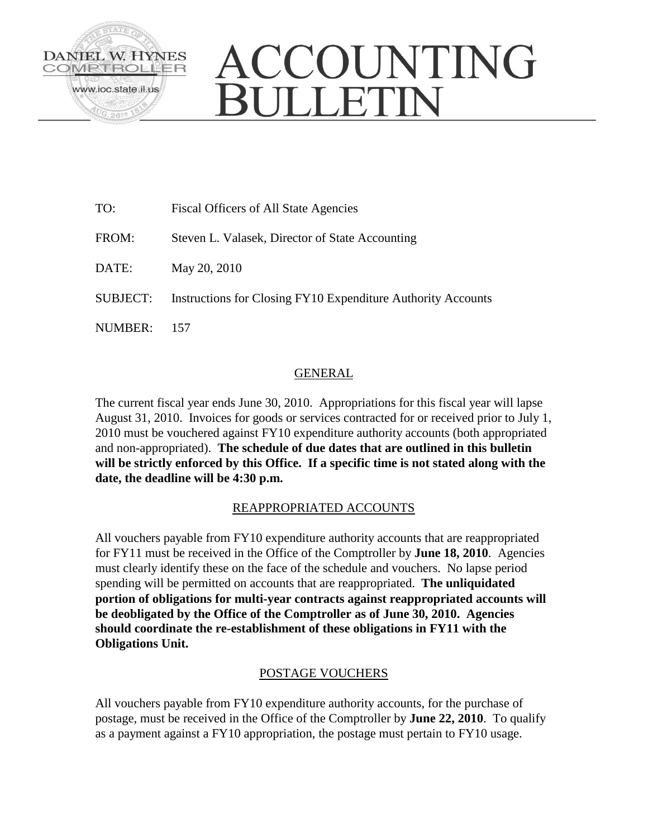

# ACCOUNTING **JULLETIN**

| TO:             | <b>Fiscal Officers of All State Agencies</b>                 |
|-----------------|--------------------------------------------------------------|
| FROM:           | Steven L. Valasek, Director of State Accounting              |
| DATE:           | May 20, 2010                                                 |
| <b>SUBJECT:</b> | Instructions for Closing FY10 Expenditure Authority Accounts |
| NUMBER:         |                                                              |

# GENERAL

The current fiscal year ends June 30, 2010. Appropriations for this fiscal year will lapse August 31, 2010. Invoices for goods or services contracted for or received prior to July 1, 2010 must be vouchered against FY10 expenditure authority accounts (both appropriated and non-appropriated). **The schedule of due dates that are outlined in this bulletin will be strictly enforced by this Office. If a specific time is not stated along with the date, the deadline will be 4:30 p.m.**

# REAPPROPRIATED ACCOUNTS

All vouchers payable from FY10 expenditure authority accounts that are reappropriated for FY11 must be received in the Office of the Comptroller by **June 18, 2010**. Agencies must clearly identify these on the face of the schedule and vouchers. No lapse period spending will be permitted on accounts that are reappropriated. **The unliquidated portion of obligations for multi-year contracts against reappropriated accounts will be deobligated by the Office of the Comptroller as of June 30, 2010. Agencies should coordinate the re-establishment of these obligations in FY11 with the Obligations Unit.** 

# POSTAGE VOUCHERS

All vouchers payable from FY10 expenditure authority accounts, for the purchase of postage, must be received in the Office of the Comptroller by **June 22, 2010**. To qualify as a payment against a FY10 appropriation, the postage must pertain to FY10 usage.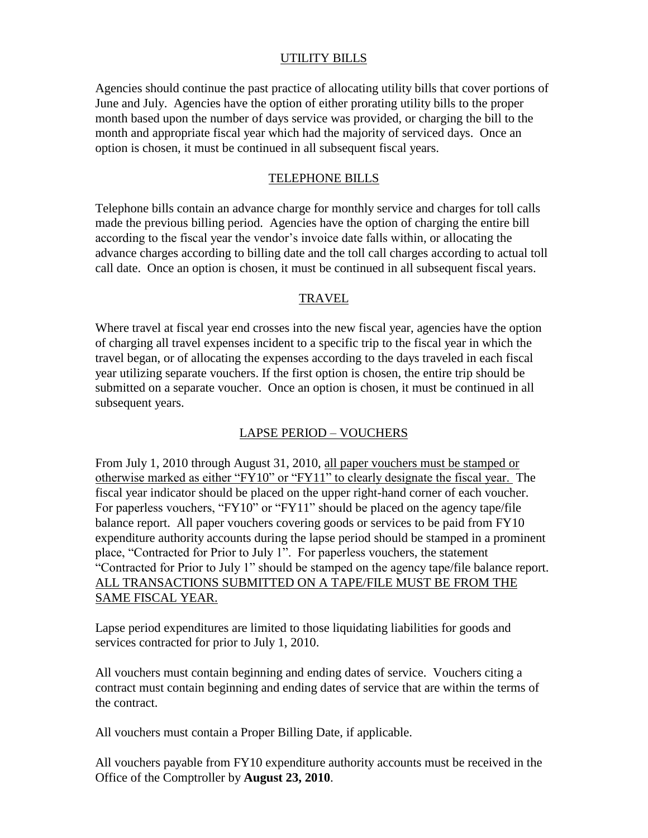### UTILITY BILLS

Agencies should continue the past practice of allocating utility bills that cover portions of June and July. Agencies have the option of either prorating utility bills to the proper month based upon the number of days service was provided, or charging the bill to the month and appropriate fiscal year which had the majority of serviced days. Once an option is chosen, it must be continued in all subsequent fiscal years.

### TELEPHONE BILLS

Telephone bills contain an advance charge for monthly service and charges for toll calls made the previous billing period. Agencies have the option of charging the entire bill according to the fiscal year the vendor's invoice date falls within, or allocating the advance charges according to billing date and the toll call charges according to actual toll call date. Once an option is chosen, it must be continued in all subsequent fiscal years.

### TRAVEL

Where travel at fiscal year end crosses into the new fiscal year, agencies have the option of charging all travel expenses incident to a specific trip to the fiscal year in which the travel began, or of allocating the expenses according to the days traveled in each fiscal year utilizing separate vouchers. If the first option is chosen, the entire trip should be submitted on a separate voucher. Once an option is chosen, it must be continued in all subsequent years.

## LAPSE PERIOD – VOUCHERS

From July 1, 2010 through August 31, 2010, all paper vouchers must be stamped or otherwise marked as either "FY10" or "FY11" to clearly designate the fiscal year. The fiscal year indicator should be placed on the upper right-hand corner of each voucher. For paperless vouchers, "FY10" or "FY11" should be placed on the agency tape/file balance report. All paper vouchers covering goods or services to be paid from FY10 expenditure authority accounts during the lapse period should be stamped in a prominent place, "Contracted for Prior to July 1". For paperless vouchers, the statement "Contracted for Prior to July 1" should be stamped on the agency tape/file balance report. ALL TRANSACTIONS SUBMITTED ON A TAPE/FILE MUST BE FROM THE SAME FISCAL YEAR.

Lapse period expenditures are limited to those liquidating liabilities for goods and services contracted for prior to July 1, 2010.

All vouchers must contain beginning and ending dates of service. Vouchers citing a contract must contain beginning and ending dates of service that are within the terms of the contract.

All vouchers must contain a Proper Billing Date, if applicable.

All vouchers payable from FY10 expenditure authority accounts must be received in the Office of the Comptroller by **August 23, 2010**.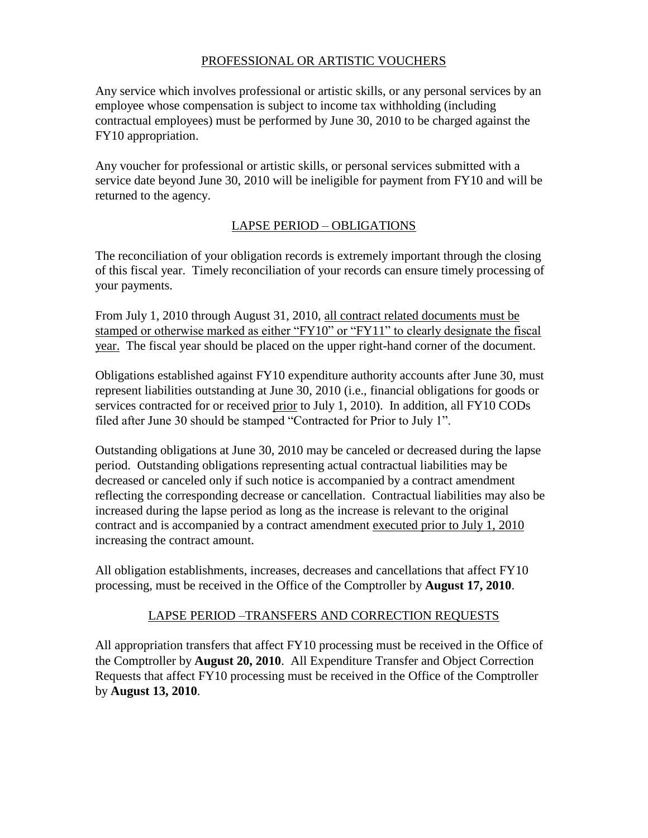# PROFESSIONAL OR ARTISTIC VOUCHERS

Any service which involves professional or artistic skills, or any personal services by an employee whose compensation is subject to income tax withholding (including contractual employees) must be performed by June 30, 2010 to be charged against the FY10 appropriation.

Any voucher for professional or artistic skills, or personal services submitted with a service date beyond June 30, 2010 will be ineligible for payment from FY10 and will be returned to the agency.

### LAPSE PERIOD – OBLIGATIONS

The reconciliation of your obligation records is extremely important through the closing of this fiscal year. Timely reconciliation of your records can ensure timely processing of your payments.

From July 1, 2010 through August 31, 2010, all contract related documents must be stamped or otherwise marked as either "FY10" or "FY11" to clearly designate the fiscal year. The fiscal year should be placed on the upper right-hand corner of the document.

Obligations established against FY10 expenditure authority accounts after June 30, must represent liabilities outstanding at June 30, 2010 (i.e., financial obligations for goods or services contracted for or received prior to July 1, 2010). In addition, all FY10 CODs filed after June 30 should be stamped "Contracted for Prior to July 1".

Outstanding obligations at June 30, 2010 may be canceled or decreased during the lapse period. Outstanding obligations representing actual contractual liabilities may be decreased or canceled only if such notice is accompanied by a contract amendment reflecting the corresponding decrease or cancellation. Contractual liabilities may also be increased during the lapse period as long as the increase is relevant to the original contract and is accompanied by a contract amendment executed prior to July 1, 2010 increasing the contract amount.

All obligation establishments, increases, decreases and cancellations that affect FY10 processing, must be received in the Office of the Comptroller by **August 17, 2010**.

## LAPSE PERIOD –TRANSFERS AND CORRECTION REQUESTS

All appropriation transfers that affect FY10 processing must be received in the Office of the Comptroller by **August 20, 2010**. All Expenditure Transfer and Object Correction Requests that affect FY10 processing must be received in the Office of the Comptroller by **August 13, 2010**.